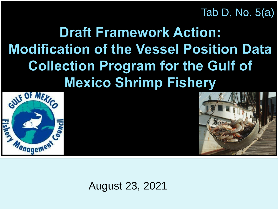Tab D, No. 5(a)

#### **Draft Framework Action: Modification of the Vessel Position Data Collection Program for the Gulf of Mexico Shrimp Fishery**





August 23, 2021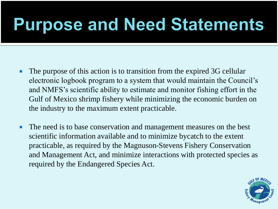#### **Purpose and Need Statements**

- The purpose of this action is to transition from the expired 3G cellular electronic logbook program to a system that would maintain the Council's and NMFS's scientific ability to estimate and monitor fishing effort in the Gulf of Mexico shrimp fishery while minimizing the economic burden on the industry to the maximum extent practicable.
- The need is to base conservation and management measures on the best scientific information available and to minimize bycatch to the extent practicable, as required by the Magnuson-Stevens Fishery Conservation and Management Act, and minimize interactions with protected species as required by the Endangered Species Act.

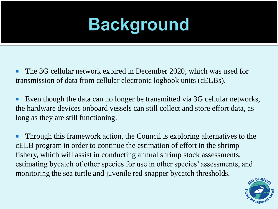# **Background**

- The 3G cellular network expired in December 2020, which was used for transmission of data from cellular electronic logbook units (cELBs).
- Even though the data can no longer be transmitted via 3G cellular networks, the hardware devices onboard vessels can still collect and store effort data, as long as they are still functioning.
- **Through this framework action, the Council is exploring alternatives to the** cELB program in order to continue the estimation of effort in the shrimp fishery, which will assist in conducting annual shrimp stock assessments, estimating bycatch of other species for use in other species' assessments, and monitoring the sea turtle and juvenile red snapper bycatch thresholds.

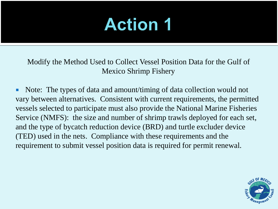Modify the Method Used to Collect Vessel Position Data for the Gulf of Mexico Shrimp Fishery

• Note: The types of data and amount/timing of data collection would not vary between alternatives. Consistent with current requirements, the permitted vessels selected to participate must also provide the National Marine Fisheries Service (NMFS): the size and number of shrimp trawls deployed for each set, and the type of bycatch reduction device (BRD) and turtle excluder device (TED) used in the nets. Compliance with these requirements and the requirement to submit vessel position data is required for permit renewal.

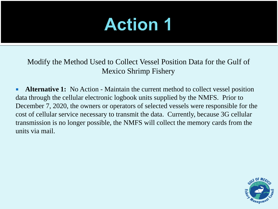Modify the Method Used to Collect Vessel Position Data for the Gulf of Mexico Shrimp Fishery

**Alternative 1:** No Action - Maintain the current method to collect vessel position data through the cellular electronic logbook units supplied by the NMFS. Prior to December 7, 2020, the owners or operators of selected vessels were responsible for the cost of cellular service necessary to transmit the data. Currently, because 3G cellular transmission is no longer possible, the NMFS will collect the memory cards from the units via mail.

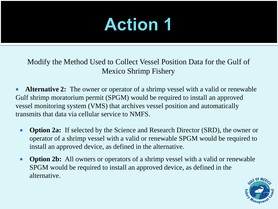Modify the Method Used to Collect Vessel Position Data for the Gulf of Mexico Shrimp Fishery

**Alternative 2:** The owner or operator of a shrimp vessel with a valid or renewable Gulf shrimp moratorium permit (SPGM) would be required to install an approved vessel monitoring system (VMS) that archives vessel position and automatically transmits that data via cellular service to NMFS.

- **Option 2a:** If selected by the Science and Research Director (SRD), the owner or operator of a shrimp vessel with a valid or renewable SPGM would be required to install an approved device, as defined in the alternative.
- **Option 2b:** All owners or operators of a shrimp vessel with a valid or renewable SPGM would be required to install an approved device, as defined in the alternative.

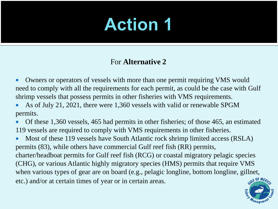#### For **Alternative 2**

**• Owners or operators of vessels with more than one permit requiring VMS would** need to comply with all the requirements for each permit, as could be the case with Gulf shrimp vessels that possess permits in other fisheries with VMS requirements.

 As of July 21, 2021, there were 1,360 vessels with valid or renewable SPGM permits.

 Of these 1,360 vessels, 465 had permits in other fisheries; of those 465, an estimated 119 vessels are required to comply with VMS requirements in other fisheries.

Most of these 119 vessels have South Atlantic rock shrimp limited access (RSLA) permits (83), while others have commercial Gulf reef fish (RR) permits, charter/headboat permits for Gulf reef fish (RCG) or coastal migratory pelagic species (CHG), or various Atlantic highly migratory species (HMS) permits that require VMS when various types of gear are on board (e.g., pelagic longline, bottom longline, gillnet, etc.) and/or at certain times of year or in certain areas.

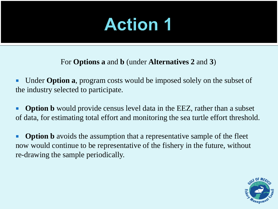For **Options a** and **b** (under **Alternatives 2** and **3**)

■ Under **Option a**, program costs would be imposed solely on the subset of the industry selected to participate.

**• Option b** would provide census level data in the EEZ, rather than a subset of data, for estimating total effort and monitoring the sea turtle effort threshold.

**• Option b** avoids the assumption that a representative sample of the fleet now would continue to be representative of the fishery in the future, without re-drawing the sample periodically.

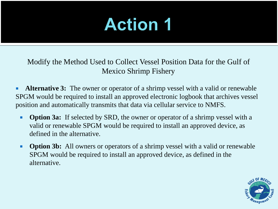Modify the Method Used to Collect Vessel Position Data for the Gulf of Mexico Shrimp Fishery

**Alternative 3:** The owner or operator of a shrimp vessel with a valid or renewable SPGM would be required to install an approved electronic logbook that archives vessel position and automatically transmits that data via cellular service to NMFS.

- **Option 3a:** If selected by SRD, the owner or operator of a shrimp vessel with a valid or renewable SPGM would be required to install an approved device, as defined in the alternative.
- **Option 3b:** All owners or operators of a shrimp vessel with a valid or renewable SPGM would be required to install an approved device, as defined in the alternative.

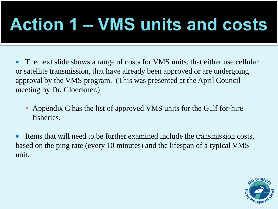# **Action 1 – VMS units and costs**

 The next slide shows a range of costs for VMS units, that either use cellular or satellite transmission, that have already been approved or are undergoing approval by the VMS program. (This was presented at the April Council meeting by Dr. Gloeckner.)

Appendix C has the list of approved VMS units for the Gulf for-hire fisheries.

Items that will need to be further examined include the transmission costs, based on the ping rate (every 10 minutes) and the lifespan of a typical VMS unit.

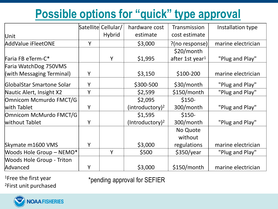#### **Possible options for "quick" type approval**

|                                  |   | Satellite Cellular/ | hardware cost               | Transmission                | Installation type  |
|----------------------------------|---|---------------------|-----------------------------|-----------------------------|--------------------|
| Unit                             |   | <b>Hybrid</b>       | estimate                    | cost estimate               |                    |
| AddValue iFleetONE               | Y |                     | \$3,000                     | $?$ (no response)           | marine electrician |
|                                  |   |                     |                             | $$20/m$ onth                |                    |
| Faria FB eTerm-C*                |   | Y                   | \$1,995                     | after 1st year <sup>1</sup> | "Plug and Play"    |
| Faria WatchDog 750VMS            |   |                     |                             |                             |                    |
| (with Messaging Terminal)        | Υ |                     | \$3,150                     | $$100-200$                  | marine electrician |
| GlobalStar Smartone Solar        | Y |                     | \$300-500                   | \$30/month                  | "Plug and Play"    |
| Nautic Alert, Insight X2         | Y |                     | \$2,599                     | \$150/month                 | "Plug and Play"    |
| <b>Omnicom Mcmurdo FMCT/G</b>    |   |                     | \$2,095                     | $$150-$                     |                    |
| with Tablet                      | Y |                     | (introductor) <sup>2</sup>  | 300/month                   | "Plug and Play"    |
| Omnicom McMurdo FMCT/G           |   |                     | \$1,595                     | $$150-$                     |                    |
| without Tablet                   | Y |                     | (Introductory) <sup>2</sup> | 300/month                   | "Plug and Play"    |
|                                  |   |                     |                             | No Quote                    |                    |
|                                  |   |                     |                             | without                     |                    |
| Skymate m1600 VMS                | Y |                     | \$3,000                     | regulations                 | marine electrician |
| Woods Hole Group - NEMO*         |   | Y                   | \$500                       | \$350/year                  | "Plug and Play"    |
| <b>Woods Hole Group - Triton</b> |   |                     |                             |                             |                    |
| Advanced                         | Y |                     | \$3,000                     | \$150/month                 | marine electrician |

<sup>1</sup>Free the first year <sup>2</sup>First unit purchased \*pending approval for SEFIER

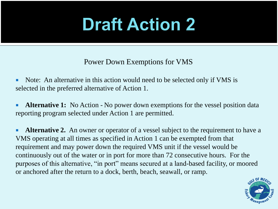## **Draft Action 2**

Power Down Exemptions for VMS

• Note: An alternative in this action would need to be selected only if VMS is selected in the preferred alternative of Action 1.

**Alternative 1:** No Action - No power down exemptions for the vessel position data reporting program selected under Action 1 are permitted.

**Alternative 2.** An owner or operator of a vessel subject to the requirement to have a VMS operating at all times as specified in Action 1 can be exempted from that requirement and may power down the required VMS unit if the vessel would be continuously out of the water or in port for more than 72 consecutive hours. For the purposes of this alternative, "in port" means secured at a land-based facility, or moored or anchored after the return to a dock, berth, beach, seawall, or ramp.

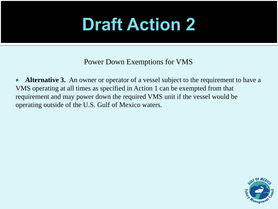## **Draft Action 2**

Power Down Exemptions for VMS

**Alternative 3.** An owner or operator of a vessel subject to the requirement to have a VMS operating at all times as specified in Action 1 can be exempted from that requirement and may power down the required VMS unit if the vessel would be operating outside of the U.S. Gulf of Mexico waters.

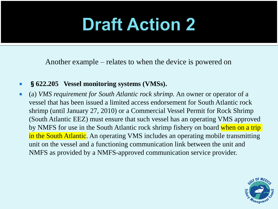## **Draft Action 2**

Another example – relates to when the device is powered on

#### §**622.205 Vessel monitoring systems (VMSs).**

 (a) *VMS requirement for South Atlantic rock shrimp.* An owner or operator of a vessel that has been issued a limited access endorsement for South Atlantic rock shrimp (until January 27, 2010) or a Commercial Vessel Permit for Rock Shrimp (South Atlantic EEZ) must ensure that such vessel has an operating VMS approved by NMFS for use in the South Atlantic rock shrimp fishery on board when on a trip in the South Atlantic. An operating VMS includes an operating mobile transmitting unit on the vessel and a functioning communication link between the unit and NMFS as provided by a NMFS-approved communication service provider.